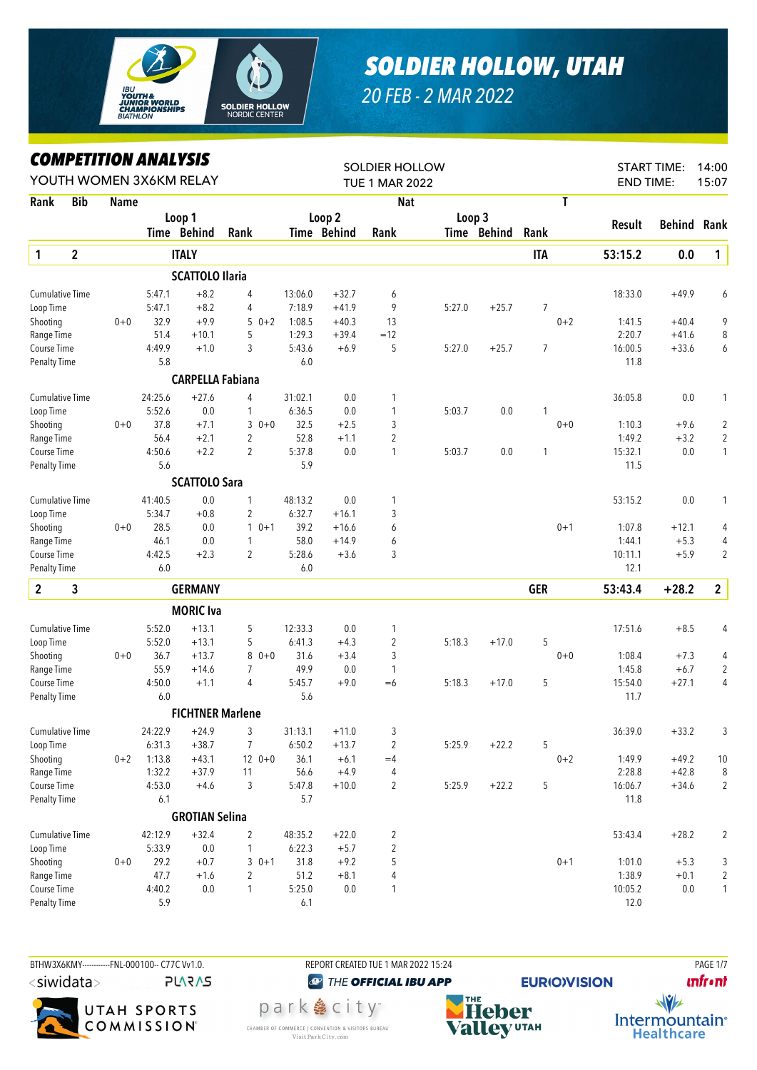

## *SOLDIER HOLLOW, UTAH*

*20 FEB - 2 MAR 2022*

## *COMPETITION ANALYSIS*

| <b>TUE 1 MAR 2022</b><br><b>Bib</b><br>T<br>Rank<br>Name<br><b>Nat</b><br>Loop 2<br>Loop 3<br>Loop 1<br>Result<br>Time Behind<br>Time Behind<br>Rank<br>Time Behind<br>Rank<br>Rank<br>$\mathbf{1}$<br>$\mathbf{2}$<br><b>ITALY</b><br><b>ITA</b><br>53:15.2<br><b>SCATTOLO Ilaria</b><br>$+8.2$<br>18:33.0<br><b>Cumulative Time</b><br>5:47.1<br>4<br>13:06.0<br>$+32.7$<br>6<br>9<br>5:47.1<br>$+8.2$<br>$\overline{4}$<br>7:18.9<br>$+41.9$<br>5:27.0<br>$+25.7$<br>$\overline{7}$<br>Loop Time<br>32.9<br>$+9.9$<br>$0 + 2$<br>Shooting<br>$0 + 0$<br>$50+2$<br>1:08.5<br>$+40.3$<br>13<br>1:41.5<br>51.4<br>1:29.3<br>2:20.7<br>Range Time<br>$+10.1$<br>5<br>$+39.4$<br>$=12$<br>5<br>4:49.9<br>3<br>5:43.6<br>$+6.9$<br>$\overline{7}$<br>16:00.5<br>Course Time<br>$+1.0$<br>5:27.0<br>$+25.7$<br>5.8<br>6.0<br>11.8<br><b>Penalty Time</b><br><b>CARPELLA Fabiana</b><br>24:25.6<br>$+27.6$<br>31:02.1<br>0.0<br>36:05.8<br><b>Cumulative Time</b><br>4<br>1 | <b>START TIME:</b><br>14:00<br>15:07<br><b>END TIME:</b> |
|------------------------------------------------------------------------------------------------------------------------------------------------------------------------------------------------------------------------------------------------------------------------------------------------------------------------------------------------------------------------------------------------------------------------------------------------------------------------------------------------------------------------------------------------------------------------------------------------------------------------------------------------------------------------------------------------------------------------------------------------------------------------------------------------------------------------------------------------------------------------------------------------------------------------------------------------------------------------|----------------------------------------------------------|
|                                                                                                                                                                                                                                                                                                                                                                                                                                                                                                                                                                                                                                                                                                                                                                                                                                                                                                                                                                        |                                                          |
|                                                                                                                                                                                                                                                                                                                                                                                                                                                                                                                                                                                                                                                                                                                                                                                                                                                                                                                                                                        |                                                          |
|                                                                                                                                                                                                                                                                                                                                                                                                                                                                                                                                                                                                                                                                                                                                                                                                                                                                                                                                                                        | Behind<br>Rank                                           |
|                                                                                                                                                                                                                                                                                                                                                                                                                                                                                                                                                                                                                                                                                                                                                                                                                                                                                                                                                                        | 0.0<br>$\mathbf{1}$                                      |
|                                                                                                                                                                                                                                                                                                                                                                                                                                                                                                                                                                                                                                                                                                                                                                                                                                                                                                                                                                        |                                                          |
|                                                                                                                                                                                                                                                                                                                                                                                                                                                                                                                                                                                                                                                                                                                                                                                                                                                                                                                                                                        | $+49.9$<br>6                                             |
|                                                                                                                                                                                                                                                                                                                                                                                                                                                                                                                                                                                                                                                                                                                                                                                                                                                                                                                                                                        |                                                          |
|                                                                                                                                                                                                                                                                                                                                                                                                                                                                                                                                                                                                                                                                                                                                                                                                                                                                                                                                                                        | 9<br>$+40.4$                                             |
|                                                                                                                                                                                                                                                                                                                                                                                                                                                                                                                                                                                                                                                                                                                                                                                                                                                                                                                                                                        | 8<br>$+41.6$                                             |
|                                                                                                                                                                                                                                                                                                                                                                                                                                                                                                                                                                                                                                                                                                                                                                                                                                                                                                                                                                        | $+33.6$<br>6                                             |
|                                                                                                                                                                                                                                                                                                                                                                                                                                                                                                                                                                                                                                                                                                                                                                                                                                                                                                                                                                        |                                                          |
|                                                                                                                                                                                                                                                                                                                                                                                                                                                                                                                                                                                                                                                                                                                                                                                                                                                                                                                                                                        |                                                          |
|                                                                                                                                                                                                                                                                                                                                                                                                                                                                                                                                                                                                                                                                                                                                                                                                                                                                                                                                                                        | $0.0\,$<br>1                                             |
| 5:52.6<br>0.0<br>6:36.5<br>$0.0\,$<br>1<br>5:03.7<br>0.0<br>Loop Time<br>1<br>1                                                                                                                                                                                                                                                                                                                                                                                                                                                                                                                                                                                                                                                                                                                                                                                                                                                                                        |                                                          |
| 37.8<br>$30+0$<br>32.5<br>$+2.5$<br>3<br>$0 + 0$<br>1:10.3<br>Shooting<br>$0 + 0$<br>$+7.1$                                                                                                                                                                                                                                                                                                                                                                                                                                                                                                                                                                                                                                                                                                                                                                                                                                                                            | $\sqrt{2}$<br>$+9.6$                                     |
| 52.8<br>$\overline{2}$<br>56.4<br>$+2.1$<br>$\overline{2}$<br>1:49.2<br>Range Time<br>$+1.1$                                                                                                                                                                                                                                                                                                                                                                                                                                                                                                                                                                                                                                                                                                                                                                                                                                                                           | $\overline{2}$<br>$+3.2$                                 |
| $\overline{2}$<br>5:37.8<br>Course Time<br>4:50.6<br>$+2.2$<br>0.0<br>15:32.1<br>0.0<br>1<br>5:03.7<br>1                                                                                                                                                                                                                                                                                                                                                                                                                                                                                                                                                                                                                                                                                                                                                                                                                                                               | 0.0<br>1                                                 |
| 5.6<br>5.9<br><b>Penalty Time</b><br>11.5                                                                                                                                                                                                                                                                                                                                                                                                                                                                                                                                                                                                                                                                                                                                                                                                                                                                                                                              |                                                          |
| <b>SCATTOLO Sara</b>                                                                                                                                                                                                                                                                                                                                                                                                                                                                                                                                                                                                                                                                                                                                                                                                                                                                                                                                                   |                                                          |
| 41:40.5<br>0.0<br>48:13.2<br>0.0<br>53:15.2<br><b>Cumulative Time</b><br>1<br>1                                                                                                                                                                                                                                                                                                                                                                                                                                                                                                                                                                                                                                                                                                                                                                                                                                                                                        | $0.0\,$<br>$\mathbf{1}$                                  |
| 5:34.7<br>$+0.8$<br>$\overline{2}$<br>6:32.7<br>$+16.1$<br>3<br>Loop Time                                                                                                                                                                                                                                                                                                                                                                                                                                                                                                                                                                                                                                                                                                                                                                                                                                                                                              |                                                          |
| 39.2<br>28.5<br>0.0<br>$10+1$<br>$0 + 1$<br>1:07.8<br>Shooting<br>$0 + 0$<br>$+16.6$<br>6                                                                                                                                                                                                                                                                                                                                                                                                                                                                                                                                                                                                                                                                                                                                                                                                                                                                              | $+12.1$<br>4                                             |
| 58.0<br>Range Time<br>46.1<br>0.0<br>1<br>$+14.9$<br>6<br>1:44.1                                                                                                                                                                                                                                                                                                                                                                                                                                                                                                                                                                                                                                                                                                                                                                                                                                                                                                       | $+5.3$<br>4                                              |
| Course Time<br>4:42.5<br>$\overline{2}$<br>5:28.6<br>3<br>10:11.1<br>$+2.3$<br>$+3.6$                                                                                                                                                                                                                                                                                                                                                                                                                                                                                                                                                                                                                                                                                                                                                                                                                                                                                  | $\overline{2}$<br>$+5.9$                                 |
| <b>Penalty Time</b><br>6.0<br>6.0<br>12.1                                                                                                                                                                                                                                                                                                                                                                                                                                                                                                                                                                                                                                                                                                                                                                                                                                                                                                                              |                                                          |
| $\overline{2}$<br>3<br><b>GERMANY</b><br><b>GER</b><br>53:43.4                                                                                                                                                                                                                                                                                                                                                                                                                                                                                                                                                                                                                                                                                                                                                                                                                                                                                                         | $\overline{2}$<br>$+28.2$                                |
| <b>MORIC</b> Iva                                                                                                                                                                                                                                                                                                                                                                                                                                                                                                                                                                                                                                                                                                                                                                                                                                                                                                                                                       |                                                          |
| Cumulative Time<br>5:52.0<br>$+13.1$<br>5<br>12:33.3<br>0.0<br>17:51.6<br>1                                                                                                                                                                                                                                                                                                                                                                                                                                                                                                                                                                                                                                                                                                                                                                                                                                                                                            | $+8.5$<br>4                                              |
| $\overline{2}$<br>Loop Time<br>5:52.0<br>$+13.1$<br>5<br>6:41.3<br>$+4.3$<br>5:18.3<br>$+17.0$<br>5                                                                                                                                                                                                                                                                                                                                                                                                                                                                                                                                                                                                                                                                                                                                                                                                                                                                    |                                                          |
| 36.7<br>$+13.7$<br>8<br>31.6<br>3<br>$0 + 0$<br>1:08.4<br>Shooting<br>$0 + 0$<br>$0 + 0$<br>$+3.4$                                                                                                                                                                                                                                                                                                                                                                                                                                                                                                                                                                                                                                                                                                                                                                                                                                                                     | $+7.3$<br>4                                              |
| 55.9<br>49.9<br>0.0<br>1:45.8<br>Range Time<br>$+14.6$<br>7<br>$\mathbf{1}$                                                                                                                                                                                                                                                                                                                                                                                                                                                                                                                                                                                                                                                                                                                                                                                                                                                                                            | $+6.7$<br>$\overline{2}$                                 |
| 5<br>4:50.0<br>4<br>5:45.7<br>5:18.3<br>15:54.0<br>Course Time<br>$+1.1$<br>$+9.0$<br>$=6$<br>$+17.0$                                                                                                                                                                                                                                                                                                                                                                                                                                                                                                                                                                                                                                                                                                                                                                                                                                                                  | $+27.1$<br>4                                             |
| 6.0<br>5.6<br>11.7<br>Penalty Time                                                                                                                                                                                                                                                                                                                                                                                                                                                                                                                                                                                                                                                                                                                                                                                                                                                                                                                                     |                                                          |
| <b>FICHTNER Marlene</b>                                                                                                                                                                                                                                                                                                                                                                                                                                                                                                                                                                                                                                                                                                                                                                                                                                                                                                                                                |                                                          |
| Cumulative Time<br>31:13.1<br>36:39.0<br>24:22.9<br>$+24.9$<br>3<br>$+11.0$<br>3                                                                                                                                                                                                                                                                                                                                                                                                                                                                                                                                                                                                                                                                                                                                                                                                                                                                                       | $+33.2$<br>3                                             |
| $\overline{2}$<br>6:31.3<br>$+38.7$<br>6:50.2<br>5:25.9<br>$+22.2$<br>5<br>Loop Time<br>7<br>$+13.7$                                                                                                                                                                                                                                                                                                                                                                                                                                                                                                                                                                                                                                                                                                                                                                                                                                                                   |                                                          |
| 1:13.8<br>$12 0+0$<br>36.1<br>Shooting<br>$0 + 2$<br>$+43.1$<br>$+6.1$<br>$0 + 2$<br>1:49.9<br>$=4$                                                                                                                                                                                                                                                                                                                                                                                                                                                                                                                                                                                                                                                                                                                                                                                                                                                                    | $+49.2$<br>10                                            |
| Range Time<br>1:32.2<br>$+37.9$<br>56.6<br>$+4.9$<br>4<br>2:28.8<br>11                                                                                                                                                                                                                                                                                                                                                                                                                                                                                                                                                                                                                                                                                                                                                                                                                                                                                                 | $+42.8$<br>8                                             |
| Course Time<br>4:53.0<br>5:47.8<br>$\overline{2}$<br>5:25.9<br>$+22.2$<br>5<br>16:06.7<br>$+4.6$<br>3<br>$+10.0$                                                                                                                                                                                                                                                                                                                                                                                                                                                                                                                                                                                                                                                                                                                                                                                                                                                       | $+34.6$<br>$\overline{2}$                                |
| <b>Penalty Time</b><br>6.1<br>5.7<br>11.8                                                                                                                                                                                                                                                                                                                                                                                                                                                                                                                                                                                                                                                                                                                                                                                                                                                                                                                              |                                                          |
| <b>GROTIAN Selina</b>                                                                                                                                                                                                                                                                                                                                                                                                                                                                                                                                                                                                                                                                                                                                                                                                                                                                                                                                                  |                                                          |
| $+32.4$<br>42:12.9<br>$\overline{2}$<br>$+22.0$<br>2<br>Cumulative Time<br>48:35.2<br>53:43.4                                                                                                                                                                                                                                                                                                                                                                                                                                                                                                                                                                                                                                                                                                                                                                                                                                                                          | $\overline{2}$<br>$+28.2$                                |
| $\overline{\mathbf{c}}$<br>Loop Time<br>5:33.9<br>0.0<br>$\mathbf{1}$<br>6:22.3<br>$+5.7$                                                                                                                                                                                                                                                                                                                                                                                                                                                                                                                                                                                                                                                                                                                                                                                                                                                                              |                                                          |
| Shooting<br>$0 + 0$<br>29.2<br>$+0.7$<br>$30+1$<br>31.8<br>$+9.2$<br>5<br>$0 + 1$<br>1:01.0                                                                                                                                                                                                                                                                                                                                                                                                                                                                                                                                                                                                                                                                                                                                                                                                                                                                            | $+5.3$<br>3                                              |
| Range Time<br>47.7<br>$+1.6$<br>$\overline{2}$<br>51.2<br>$+8.1$<br>1:38.9<br>4                                                                                                                                                                                                                                                                                                                                                                                                                                                                                                                                                                                                                                                                                                                                                                                                                                                                                        | $+0.1$<br>$\overline{2}$                                 |
| 4:40.2<br>$\mathbf{1}$<br>10:05.2<br>Course Time<br>0.0<br>5:25.0<br>0.0<br>$\mathbf{1}$                                                                                                                                                                                                                                                                                                                                                                                                                                                                                                                                                                                                                                                                                                                                                                                                                                                                               | 0.0<br>$\mathbf{1}$                                      |
| 5.9<br>12.0<br><b>Penalty Time</b><br>6.1                                                                                                                                                                                                                                                                                                                                                                                                                                                                                                                                                                                                                                                                                                                                                                                                                                                                                                                              |                                                          |





<sup><sup>2</sup> THE OFFICIAL IBU APP</sup> park 急 city<sup>®</sup> CHAMBER OF COMMERCE | CONVENTION & VISITORS BUREAU

Visit Park City.com





 $\sqrt{v}$ Intermountain<sup>®</sup> **Healthcare**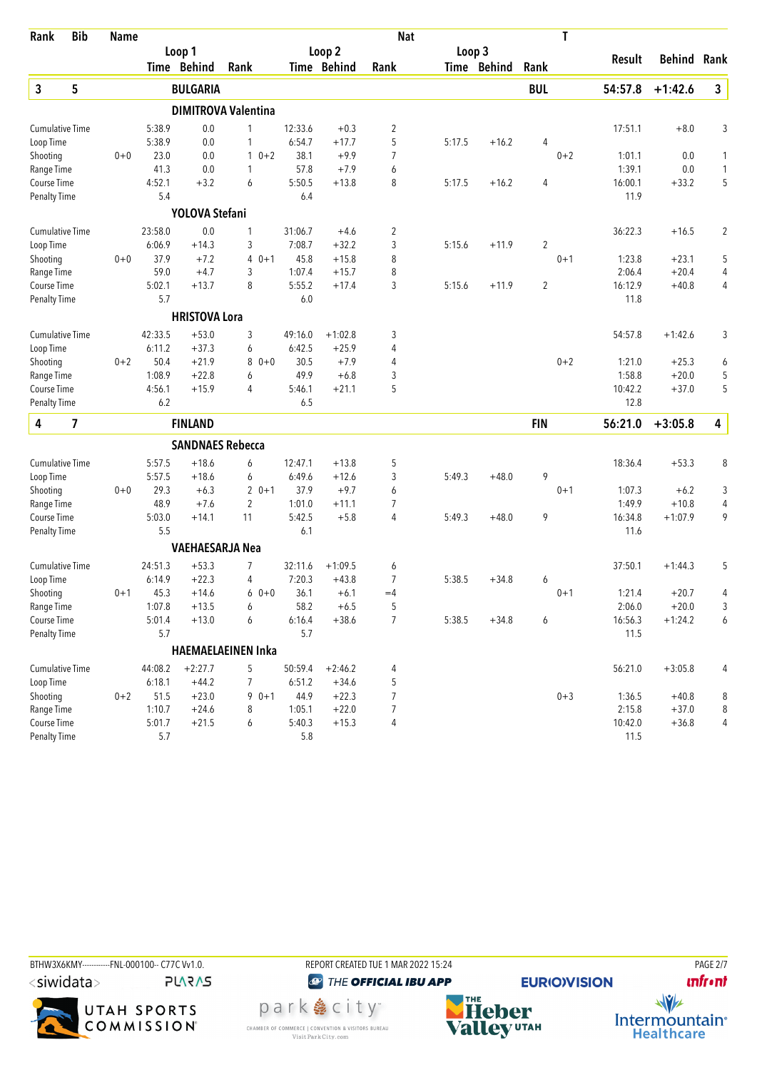| Rank                   | <b>Bib</b> | <b>Name</b> |                   |                         |                            |                |                      | <b>Nat</b>          |        |             |            | T       |                  |                    |                |
|------------------------|------------|-------------|-------------------|-------------------------|----------------------------|----------------|----------------------|---------------------|--------|-------------|------------|---------|------------------|--------------------|----------------|
|                        |            |             |                   | Loop 1                  |                            |                | Loop 2               |                     | Loop 3 |             |            |         |                  | <b>Behind Rank</b> |                |
|                        |            |             |                   | <b>Time Behind</b>      | Rank                       |                | Time Behind          | Rank                |        | Time Behind | Rank       |         | Result           |                    |                |
| 3                      | 5          |             |                   | <b>BULGARIA</b>         |                            |                |                      |                     |        |             | <b>BUL</b> |         | 54:57.8          | $+1:42.6$          | $\mathbf{3}$   |
|                        |            |             |                   |                         | <b>DIMITROVA Valentina</b> |                |                      |                     |        |             |            |         |                  |                    |                |
| <b>Cumulative Time</b> |            |             | 5:38.9            | 0.0                     | 1                          | 12:33.6        | $+0.3$               | $\overline{2}$      |        |             |            |         | 17:51.1          | $+8.0$             | 3              |
| Loop Time              |            |             | 5:38.9            | 0.0                     | 1                          | 6:54.7         | $+17.7$              | 5                   | 5:17.5 | $+16.2$     | 4          |         |                  |                    |                |
| Shooting               |            | $0 + 0$     | 23.0              | 0.0                     | $0 + 2$<br>$\mathbf{1}$    | 38.1           | $+9.9$               | $\overline{7}$      |        |             |            | $0 + 2$ | 1:01.1           | 0.0                | 1              |
| Range Time             |            |             | 41.3              | 0.0                     | 1                          | 57.8           | $+7.9$               | 6                   |        |             |            |         | 1:39.1           | 0.0                | $\mathbf{1}$   |
| Course Time            |            |             | 4:52.1            | $+3.2$                  | 6                          | 5:50.5         | $+13.8$              | 8                   | 5:17.5 | $+16.2$     | 4          |         | 16:00.1          | $+33.2$            | 5              |
| <b>Penalty Time</b>    |            |             | 5.4               |                         |                            | 6.4            |                      |                     |        |             |            |         | 11.9             |                    |                |
|                        |            |             |                   | YOLOVA Stefani          |                            |                |                      |                     |        |             |            |         |                  |                    |                |
| <b>Cumulative Time</b> |            |             | 23:58.0           | 0.0                     | 1                          | 31:06.7        | $+4.6$               | $\overline{c}$      |        |             |            |         | 36:22.3          | $+16.5$            | $\overline{c}$ |
| Loop Time              |            |             | 6:06.9            | $+14.3$                 | 3                          | 7:08.7         | $+32.2$              | 3                   | 5:15.6 | $+11.9$     | 2          |         |                  |                    |                |
| Shooting               |            | $0 + 0$     | 37.9              | $+7.2$                  | $0 + 1$<br>4               | 45.8           | $+15.8$              | 8                   |        |             |            | $0 + 1$ | 1:23.8           | $+23.1$            | 5              |
| Range Time             |            |             | 59.0              | $+4.7$                  | 3                          | 1:07.4         | $+15.7$              | 8                   |        |             |            |         | 2:06.4           | $+20.4$            | 4              |
| Course Time            |            |             | 5:02.1            | $+13.7$                 | 8                          | 5:55.2         | $+17.4$              | 3                   | 5:15.6 | $+11.9$     | 2          |         | 16:12.9          | $+40.8$            | 4              |
| <b>Penalty Time</b>    |            |             | 5.7               |                         |                            | 6.0            |                      |                     |        |             |            |         | 11.8             |                    |                |
|                        |            |             |                   | <b>HRISTOVA Lora</b>    |                            |                |                      |                     |        |             |            |         |                  |                    |                |
| <b>Cumulative Time</b> |            |             | 42:33.5<br>6:11.2 | $+53.0$                 | 3                          | 49:16.0        | $+1:02.8$<br>$+25.9$ | 3                   |        |             |            |         | 54:57.8          | $+1:42.6$          | 3              |
| Loop Time              |            |             | 50.4              | $+37.3$<br>$+21.9$      | 6<br>$0 + 0$               | 6:42.5<br>30.5 | $+7.9$               | 4<br>$\overline{4}$ |        |             |            | $0 + 2$ |                  |                    |                |
| Shooting<br>Range Time |            | $0 + 2$     | 1:08.9            | $+22.8$                 | 8<br>6                     | 49.9           | $+6.8$               | 3                   |        |             |            |         | 1:21.0<br>1:58.8 | $+25.3$<br>$+20.0$ | 6<br>5         |
| Course Time            |            |             | 4:56.1            | $+15.9$                 | 4                          | 5:46.1         | $+21.1$              | 5                   |        |             |            |         | 10:42.2          | $+37.0$            | 5              |
| Penalty Time           |            |             | 6.2               |                         |                            | 6.5            |                      |                     |        |             |            |         | 12.8             |                    |                |
| 4                      | 7          |             |                   | <b>FINLAND</b>          |                            |                |                      |                     |        |             | <b>FIN</b> |         | 56:21.0          | $+3:05.8$          | 4              |
|                        |            |             |                   | <b>SANDNAES Rebecca</b> |                            |                |                      |                     |        |             |            |         |                  |                    |                |
| <b>Cumulative Time</b> |            |             | 5:57.5            | $+18.6$                 | 6                          | 12:47.1        | $+13.8$              | 5                   |        |             |            |         | 18:36.4          | $+53.3$            | 8              |
| Loop Time              |            |             | 5:57.5            | $+18.6$                 | 6                          | 6:49.6         | $+12.6$              | 3                   | 5:49.3 | $+48.0$     | 9          |         |                  |                    |                |
| Shooting               |            | $0 + 0$     | 29.3              | $+6.3$                  | $20+1$                     | 37.9           | $+9.7$               | 6                   |        |             |            | $0 + 1$ | 1:07.3           | $+6.2$             | 3              |
| Range Time             |            |             | 48.9              | $+7.6$                  | $\overline{2}$             | 1:01.0         | $+11.1$              | 7                   |        |             |            |         | 1:49.9           | $+10.8$            | 4              |
| Course Time            |            |             | 5:03.0            | $+14.1$                 | 11                         | 5:42.5         | $+5.8$               | 4                   | 5:49.3 | $+48.0$     | 9          |         | 16:34.8          | $+1:07.9$          | 9              |
| <b>Penalty Time</b>    |            |             | 5.5               |                         |                            | 6.1            |                      |                     |        |             |            |         | 11.6             |                    |                |
|                        |            |             |                   | <b>VAEHAESARJA Nea</b>  |                            |                |                      |                     |        |             |            |         |                  |                    |                |
| <b>Cumulative Time</b> |            |             | 24:51.3           | $+53.3$                 | 7                          | 32:11.6        | $+1:09.5$            | 6                   |        |             |            |         | 37:50.1          | $+1:44.3$          | 5              |
| Loop Time              |            |             | 6:14.9            | $+22.3$                 | 4                          | 7:20.3         | $+43.8$              | 7                   | 5:38.5 | $+34.8$     | 6          |         |                  |                    |                |
| Shooting               |            | $0 + 1$     | 45.3              | $+14.6$                 | $60+0$                     | 36.1           | $+6.1$               | $=4$                |        |             |            | $0 + 1$ | 1:21.4           | $+20.7$            | 4              |
| Range Time             |            |             | 1:07.8            | $+13.5$                 | 6                          | 58.2           | $+6.5$               | 5                   |        |             |            |         | 2:06.0           | $+20.0$            | 3              |
| Course Time            |            |             | 5:01.4            | $+13.0$                 | 6                          | 6:16.4         | $+38.6$              | $\overline{7}$      | 5:38.5 | $+34.8$     | 6          |         | 16:56.3          | $+1:24.2$          | 6              |
| <b>Penalty Time</b>    |            |             | 5.7               |                         |                            | 5.7            |                      |                     |        |             |            |         | 11.5             |                    |                |
|                        |            |             |                   |                         | HAEMAELAEINEN Inka         |                |                      |                     |        |             |            |         |                  |                    |                |
| <b>Cumulative Time</b> |            |             | 44:08.2           | $+2:27.7$               | 5                          | 50:59.4        | $+2:46.2$            | 4                   |        |             |            |         | 56:21.0          | $+3:05.8$          | 4              |
| Loop Time              |            |             | 6:18.1            | $+44.2$                 | 7                          | 6:51.2         | $+34.6$              | 5                   |        |             |            |         |                  |                    |                |
| Shooting               |            | $0 + 2$     | 51.5              | $+23.0$                 | $90+1$                     | 44.9           | $+22.3$              | $\overline{7}$      |        |             |            | $0 + 3$ | 1:36.5           | $+40.8$            | 8              |
| Range Time             |            |             | 1:10.7            | $+24.6$                 | 8                          | 1:05.1         | $+22.0$              | $\overline{7}$      |        |             |            |         | 2:15.8           | $+37.0$            | 8              |
| Course Time            |            |             | 5:01.7            | $+21.5$                 | 6                          | 5:40.3         | $+15.3$              | 4                   |        |             |            |         | 10:42.0          | $+36.8$            | 4              |
| <b>Penalty Time</b>    |            |             | $5.7$             |                         |                            | 5.8            |                      |                     |        |             |            |         | 11.5             |                    |                |





<sup><sup>3</sup>THE OFFICIAL IBU APP</sup>

park e city<sup>®</sup> CHAMBER OF COMMERCE | CONVENTION & VISITORS BUREAU<br>Visit Park City.com



**EURIO)VISION** 

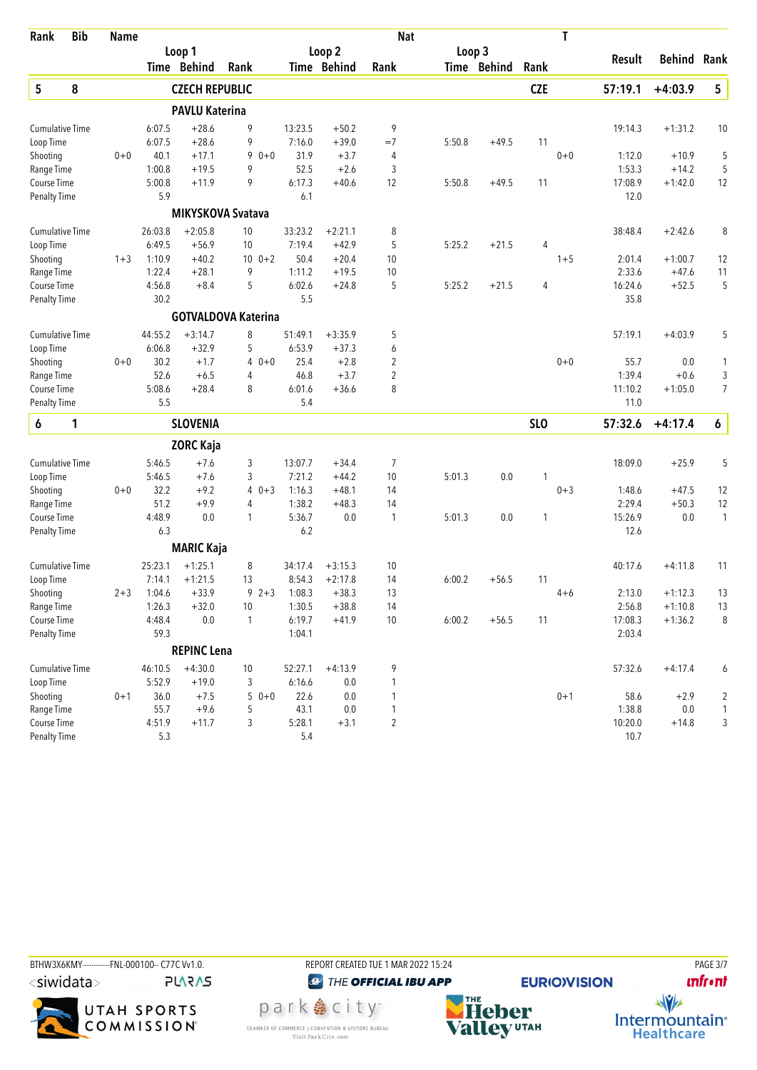| Rank                   | <b>Bib</b> | <b>Name</b> |         |                       |                            |         |             | <b>Nat</b>     |        |             |            | T       |         |                    |                |
|------------------------|------------|-------------|---------|-----------------------|----------------------------|---------|-------------|----------------|--------|-------------|------------|---------|---------|--------------------|----------------|
|                        |            |             |         | Loop 1                |                            |         | Loop 2      |                | Loop 3 |             |            |         |         |                    |                |
|                        |            |             |         | Time Behind           | Rank                       |         | Time Behind | Rank           |        | Time Behind | Rank       |         | Result  | <b>Behind Rank</b> |                |
| 5                      | 8          |             |         | <b>CZECH REPUBLIC</b> |                            |         |             |                |        |             | <b>CZE</b> |         | 57:19.1 | $+4:03.9$          | 5              |
|                        |            |             |         | <b>PAVLU Katerina</b> |                            |         |             |                |        |             |            |         |         |                    |                |
| <b>Cumulative Time</b> |            |             | 6:07.5  | $+28.6$               | 9                          | 13:23.5 | $+50.2$     | 9              |        |             |            |         | 19:14.3 | $+1:31.2$          | 10             |
| Loop Time              |            |             | 6:07.5  | $+28.6$               | 9                          | 7:16.0  | $+39.0$     | $=7$           | 5:50.8 | $+49.5$     | 11         |         |         |                    |                |
| Shooting               |            | $0 + 0$     | 40.1    | $+17.1$               | $90+0$                     | 31.9    | $+3.7$      | 4              |        |             |            | $0 + 0$ | 1:12.0  | $+10.9$            | 5              |
| Range Time             |            |             | 1:00.8  | $+19.5$               | 9                          | 52.5    | $+2.6$      | 3              |        |             |            |         | 1:53.3  | $+14.2$            | 5              |
| Course Time            |            |             | 5:00.8  | $+11.9$               | 9                          | 6:17.3  | $+40.6$     | 12             | 5:50.8 | $+49.5$     | 11         |         | 17:08.9 | $+1:42.0$          | 12             |
| <b>Penalty Time</b>    |            |             | 5.9     |                       |                            | 6.1     |             |                |        |             |            |         | 12.0    |                    |                |
|                        |            |             |         |                       | <b>MIKYSKOVA Svatava</b>   |         |             |                |        |             |            |         |         |                    |                |
| <b>Cumulative Time</b> |            |             | 26:03.8 | $+2:05.8$             | 10                         | 33:23.2 | $+2:21.1$   | 8              |        |             |            |         | 38:48.4 | $+2:42.6$          | 8              |
| Loop Time              |            |             | 6:49.5  | $+56.9$               | 10                         | 7:19.4  | $+42.9$     | 5              | 5:25.2 | $+21.5$     | 4          |         |         |                    |                |
| Shooting               |            | $1 + 3$     | 1:10.9  | $+40.2$               | $10 \t 0+2$                | 50.4    | $+20.4$     | 10             |        |             |            | $1 + 5$ | 2:01.4  | $+1:00.7$          | 12             |
| Range Time             |            |             | 1:22.4  | $+28.1$               | 9                          | 1:11.2  | $+19.5$     | 10             |        |             |            |         | 2:33.6  | $+47.6$            | 11             |
| <b>Course Time</b>     |            |             | 4:56.8  | $+8.4$                | 5                          | 6:02.6  | $+24.8$     | 5              | 5:25.2 | $+21.5$     | 4          |         | 16:24.6 | $+52.5$            | 5              |
| <b>Penalty Time</b>    |            |             | 30.2    |                       |                            | 5.5     |             |                |        |             |            |         | 35.8    |                    |                |
|                        |            |             |         |                       | <b>GOTVALDOVA Katerina</b> |         |             |                |        |             |            |         |         |                    |                |
| <b>Cumulative Time</b> |            |             | 44:55.2 | $+3:14.7$             | 8                          | 51:49.1 | $+3:35.9$   | 5              |        |             |            |         | 57:19.1 | $+4:03.9$          | 5              |
| Loop Time              |            |             | 6:06.8  | $+32.9$               | 5                          | 6:53.9  | $+37.3$     | 6              |        |             |            |         |         |                    |                |
| Shooting               |            | $0+0$       | 30.2    | $+1.7$                | $\overline{4}$<br>$0 + 0$  | 25.4    | $+2.8$      | $\overline{2}$ |        |             |            | $0 + 0$ | 55.7    | 0.0                | 1              |
| Range Time             |            |             | 52.6    | $+6.5$                | 4                          | 46.8    | $+3.7$      | $\overline{2}$ |        |             |            |         | 1:39.4  | $+0.6$             | 3              |
| Course Time            |            |             | 5:08.6  | $+28.4$               | 8                          | 6:01.6  | $+36.6$     | 8              |        |             |            |         | 11:10.2 | $+1:05.0$          | $\overline{7}$ |
| <b>Penalty Time</b>    |            |             | 5.5     |                       |                            | 5.4     |             |                |        |             |            |         | 11.0    |                    |                |
| 6                      | 1          |             |         | <b>SLOVENIA</b>       |                            |         |             |                |        |             | <b>SLO</b> |         | 57:32.6 | $+4:17.4$          | 6              |
|                        |            |             |         | <b>ZORC Kaja</b>      |                            |         |             |                |        |             |            |         |         |                    |                |
| <b>Cumulative Time</b> |            |             | 5:46.5  | $+7.6$                | 3                          | 13:07.7 | $+34.4$     | 7              |        |             |            |         | 18:09.0 | $+25.9$            | 5              |
| Loop Time              |            |             | 5:46.5  | $+7.6$                | 3                          | 7:21.2  | $+44.2$     | 10             | 5:01.3 | 0.0         | 1          |         |         |                    |                |
| Shooting               |            | $0 + 0$     | 32.2    | $+9.2$                | $40+3$                     | 1:16.3  | $+48.1$     | 14             |        |             |            | $0 + 3$ | 1:48.6  | $+47.5$            | 12             |
| Range Time             |            |             | 51.2    | $+9.9$                | 4                          | 1:38.2  | $+48.3$     | 14             |        |             |            |         | 2:29.4  | $+50.3$            | 12             |
| Course Time            |            |             | 4:48.9  | 0.0                   | 1                          | 5:36.7  | 0.0         | 1              | 5:01.3 | 0.0         | 1          |         | 15:26.9 | 0.0                | $\mathbf{1}$   |
| <b>Penalty Time</b>    |            |             | 6.3     |                       |                            | 6.2     |             |                |        |             |            |         | 12.6    |                    |                |
|                        |            |             |         | <b>MARIC Kaja</b>     |                            |         |             |                |        |             |            |         |         |                    |                |
| <b>Cumulative Time</b> |            |             | 25:23.1 | $+1:25.1$             | 8                          | 34:17.4 | $+3:15.3$   | 10             |        |             |            |         | 40:17.6 | $+4:11.8$          | 11             |
| Loop Time              |            |             | 7:14.1  | $+1:21.5$             | 13                         | 8:54.3  | $+2:17.8$   | 14             | 6:00.2 | $+56.5$     | 11         |         |         |                    |                |
| Shooting               |            | 2+3         | 1:04.6  | $+33.9$               | 9<br>$2 + 3$               | 1:08.3  | $+38.3$     | 13             |        |             |            | $4 + 6$ | 2:13.0  | $+1:12.3$          | 13             |
| Range Time             |            |             | 1:26.3  | $+32.0$               | 10                         | 1:30.5  | $+38.8$     | 14             |        |             |            |         | 2:56.8  | $+1:10.8$          | 13             |
| Course Time            |            |             | 4:48.4  | 0.0                   | 1                          | 6:19.7  | $+41.9$     | 10             | 6:00.2 | $+56.5$     | 11         |         | 17:08.3 | $+1:36.2$          | 8              |
| Penalty Time           |            |             | 59.3    |                       |                            | 1:04.1  |             |                |        |             |            |         | 2:03.4  |                    |                |
|                        |            |             |         | <b>REPINC Lena</b>    |                            |         |             |                |        |             |            |         |         |                    |                |
| <b>Cumulative Time</b> |            |             | 46:10.5 | $+4:30.0$             | 10                         | 52:27.1 | $+4:13.9$   | 9              |        |             |            |         | 57:32.6 | $+4:17.4$          | 6              |
| Loop Time              |            |             | 5:52.9  | $+19.0$               | 3                          | 6:16.6  | 0.0         | 1              |        |             |            |         |         |                    |                |
| Shooting               |            | $0 + 1$     | 36.0    | $+7.5$                | $50+0$                     | 22.6    | 0.0         | 1              |        |             |            | $0 + 1$ | 58.6    | $+2.9$             | 2              |
| Range Time             |            |             | 55.7    | $+9.6$                | 5                          | 43.1    | 0.0         | 1              |        |             |            |         | 1:38.8  | 0.0                | $\mathbf{1}$   |
| Course Time            |            |             | 4:51.9  | $+11.7$               | 3                          | 5:28.1  | $+3.1$      | 2              |        |             |            |         | 10:20.0 | $+14.8$            | 3              |
| <b>Penalty Time</b>    |            |             | 5.3     |                       |                            | 5.4     |             |                |        |             |            |         | 10.7    |                    |                |









**unfront** 

 $\frac{1}{\sqrt{2}}$ 

Intermountain<sup>®</sup><br>Healthcare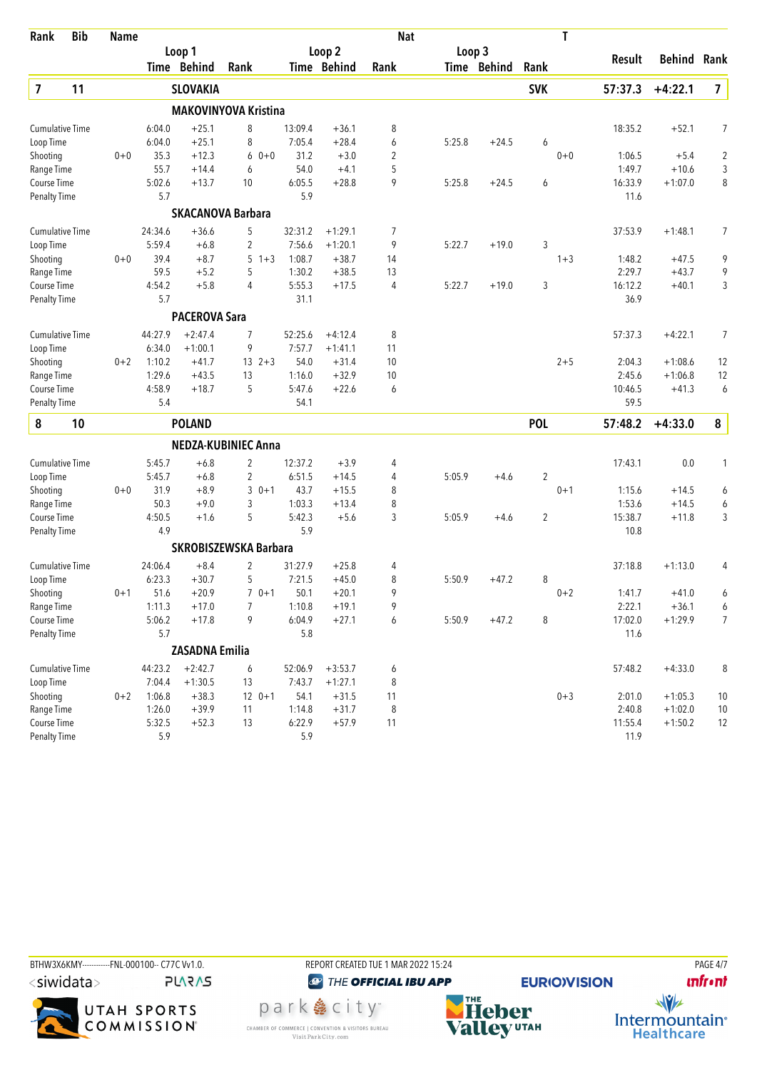| Rank                    | <b>Bib</b> | <b>Name</b> |         |                       |                              |         |                   | <b>Nat</b>     |        |             |                | T       |         |                    |                |
|-------------------------|------------|-------------|---------|-----------------------|------------------------------|---------|-------------------|----------------|--------|-------------|----------------|---------|---------|--------------------|----------------|
|                         |            |             |         | Loop 1                |                              |         | Loop <sub>2</sub> |                | Loop 3 |             |                |         |         |                    |                |
|                         |            |             |         | Time Behind           | Rank                         |         | Time Behind       | Rank           |        | Time Behind | Rank           |         | Result  | <b>Behind Rank</b> |                |
| $\overline{\mathbf{z}}$ | 11         |             |         | <b>SLOVAKIA</b>       |                              |         |                   |                |        |             | <b>SVK</b>     |         | 57:37.3 | $+4:22.1$          | $\overline{7}$ |
|                         |            |             |         |                       | <b>MAKOVINYOVA Kristina</b>  |         |                   |                |        |             |                |         |         |                    |                |
| <b>Cumulative Time</b>  |            |             | 6:04.0  | $+25.1$               | 8                            | 13:09.4 | $+36.1$           | 8              |        |             |                |         | 18:35.2 | $+52.1$            | 7              |
| Loop Time               |            |             | 6:04.0  | $+25.1$               | 8                            | 7:05.4  | $+28.4$           | 6              | 5:25.8 | $+24.5$     | 6              |         |         |                    |                |
| Shooting                |            | $0 + 0$     | 35.3    | $+12.3$               | 6<br>$0 + 0$                 | 31.2    | $+3.0$            | $\overline{2}$ |        |             |                | $0 + 0$ | 1:06.5  | $+5.4$             | $\overline{2}$ |
| Range Time              |            |             | 55.7    | $+14.4$               | 6                            | 54.0    | $+4.1$            | 5              |        |             |                |         | 1:49.7  | $+10.6$            | 3              |
| Course Time             |            |             | 5:02.6  | $+13.7$               | 10                           | 6:05.5  | $+28.8$           | 9              | 5:25.8 | $+24.5$     | 6              |         | 16:33.9 | $+1:07.0$          | 8              |
| <b>Penalty Time</b>     |            |             | 5.7     |                       |                              | 5.9     |                   |                |        |             |                |         | 11.6    |                    |                |
|                         |            |             |         |                       | <b>SKACANOVA Barbara</b>     |         |                   |                |        |             |                |         |         |                    |                |
| <b>Cumulative Time</b>  |            |             | 24:34.6 | $+36.6$               | 5                            | 32:31.2 | $+1:29.1$         | 7              |        |             |                |         | 37:53.9 | $+1:48.1$          | 7              |
| Loop Time               |            |             | 5:59.4  | $+6.8$                | 2                            | 7:56.6  | $+1:20.1$         | 9              | 5:22.7 | $+19.0$     | 3              |         |         |                    |                |
| Shooting                |            | $0 + 0$     | 39.4    | $+8.7$                | 5<br>$1 + 3$                 | 1:08.7  | $+38.7$           | 14             |        |             |                | $1 + 3$ | 1:48.2  | $+47.5$            | 9              |
| Range Time              |            |             | 59.5    | $+5.2$                | 5                            | 1:30.2  | $+38.5$           | 13             |        |             |                |         | 2:29.7  | $+43.7$            | 9              |
| Course Time             |            |             | 4:54.2  | $+5.8$                | 4                            | 5:55.3  | $+17.5$           | 4              | 5:22.7 | $+19.0$     | 3              |         | 16:12.2 | $+40.1$            | 3              |
| <b>Penalty Time</b>     |            |             | 5.7     |                       |                              | 31.1    |                   |                |        |             |                |         | 36.9    |                    |                |
|                         |            |             |         | <b>PACEROVA Sara</b>  |                              |         |                   |                |        |             |                |         |         |                    |                |
| <b>Cumulative Time</b>  |            |             | 44:27.9 | $+2:47.4$             | 7                            | 52:25.6 | $+4:12.4$         | 8              |        |             |                |         | 57:37.3 | $+4:22.1$          | $\overline{7}$ |
| Loop Time               |            |             | 6:34.0  | $+1:00.1$             | 9                            | 7:57.7  | $+1:41.1$         | 11             |        |             |                |         |         |                    |                |
| Shooting                |            | $0 + 2$     | 1:10.2  | $+41.7$               | $13 \t2+3$                   | 54.0    | $+31.4$           | 10             |        |             |                | $2 + 5$ | 2:04.3  | $+1:08.6$          | 12             |
| Range Time              |            |             | 1:29.6  | $+43.5$               | 13                           | 1:16.0  | $+32.9$           | 10             |        |             |                |         | 2:45.6  | $+1:06.8$          | 12             |
| Course Time             |            |             | 4:58.9  | $+18.7$               | 5                            | 5:47.6  | $+22.6$           | 6              |        |             |                |         | 10:46.5 | $+41.3$            | 6              |
| <b>Penalty Time</b>     |            |             | 5.4     |                       |                              | 54.1    |                   |                |        |             |                |         | 59.5    |                    |                |
| 8                       | 10         |             |         | <b>POLAND</b>         |                              |         |                   |                |        |             | <b>POL</b>     |         | 57:48.2 | $+4:33.0$          | 8              |
|                         |            |             |         |                       | NEDZA-KUBINIEC Anna          |         |                   |                |        |             |                |         |         |                    |                |
| <b>Cumulative Time</b>  |            |             | 5:45.7  | $+6.8$                | 2                            | 12:37.2 | $+3.9$            | 4              |        |             |                |         | 17:43.1 | 0.0                | 1              |
| Loop Time               |            |             | 5:45.7  | $+6.8$                | 2                            | 6:51.5  | $+14.5$           | 4              | 5:05.9 | $+4.6$      | 2              |         |         |                    |                |
| Shooting                |            | $0 + 0$     | 31.9    | $+8.9$                | 3<br>$0 + 1$                 | 43.7    | $+15.5$           | 8              |        |             |                | $0 + 1$ | 1:15.6  | $+14.5$            | 6              |
| Range Time              |            |             | 50.3    | $+9.0$                | 3                            | 1:03.3  | $+13.4$           | 8              |        |             |                |         | 1:53.6  | $+14.5$            | 6              |
| Course Time             |            |             | 4:50.5  | $+1.6$                | 5                            | 5:42.3  | $+5.6$            | 3              | 5:05.9 | $+4.6$      | $\overline{2}$ |         | 15:38.7 | $+11.8$            | 3              |
| <b>Penalty Time</b>     |            |             | 4.9     |                       |                              | 5.9     |                   |                |        |             |                |         | 10.8    |                    |                |
|                         |            |             |         |                       | <b>SKROBISZEWSKA Barbara</b> |         |                   |                |        |             |                |         |         |                    |                |
| <b>Cumulative Time</b>  |            |             | 24:06.4 | $+8.4$                | 2                            | 31:27.9 | $+25.8$           | 4              |        |             |                |         | 37:18.8 | $+1:13.0$          | 4              |
| Loop Time               |            |             | 6:23.3  | $+30.7$               | 5                            | 7:21.5  | $+45.0$           | 8              | 5:50.9 | $+47.2$     | 8              |         |         |                    |                |
| Shooting                |            | 0+1         | 51.6    | $+20.9$               | $70+1$                       | 50.1    | $+20.1$           | 9              |        |             |                | $0 + 2$ | 1:41.7  | $+41.0$            | 6              |
| Range Time              |            |             | 1:11.3  | $+17.0$               | 7                            | 1:10.8  | $+19.1$           | 9              |        |             |                |         | 2:22.1  | $+36.1$            | 6              |
| Course Time             |            |             | 5:06.2  | $+17.8$               | 9                            | 6:04.9  | $+27.1$           | 6              | 5:50.9 | $+47.2$     | 8              |         | 17:02.0 | $+1:29.9$          | 7              |
| <b>Penalty Time</b>     |            |             | 5.7     |                       |                              | 5.8     |                   |                |        |             |                |         | 11.6    |                    |                |
|                         |            |             |         | <b>ZASADNA Emilia</b> |                              |         |                   |                |        |             |                |         |         |                    |                |
| <b>Cumulative Time</b>  |            |             | 44:23.2 | $+2:42.7$             | 6                            | 52:06.9 | $+3:53.7$         | 6              |        |             |                |         | 57:48.2 | $+4:33.0$          | 8              |
| Loop Time               |            |             | 7:04.4  | $+1:30.5$             | 13                           | 7:43.7  | $+1:27.1$         | 8              |        |             |                |         |         |                    |                |
| Shooting                |            | $0 + 2$     | 1:06.8  | $+38.3$               | $12 \t 0+1$                  | 54.1    | $+31.5$           | 11             |        |             |                | $0 + 3$ | 2:01.0  | $+1:05.3$          | 10             |
| Range Time              |            |             | 1:26.0  | $+39.9$               | 11                           | 1:14.8  | $+31.7$           | 8              |        |             |                |         | 2:40.8  | $+1:02.0$          | $10$           |
| Course Time             |            |             | 5:32.5  | $+52.3$               | 13                           | 6:22.9  | $+57.9$           | 11             |        |             |                |         | 11:55.4 | $+1:50.2$          | 12             |
| <b>Penalty Time</b>     |            |             | 5.9     |                       |                              | 5.9     |                   |                |        |             |                |         | 11.9    |                    |                |

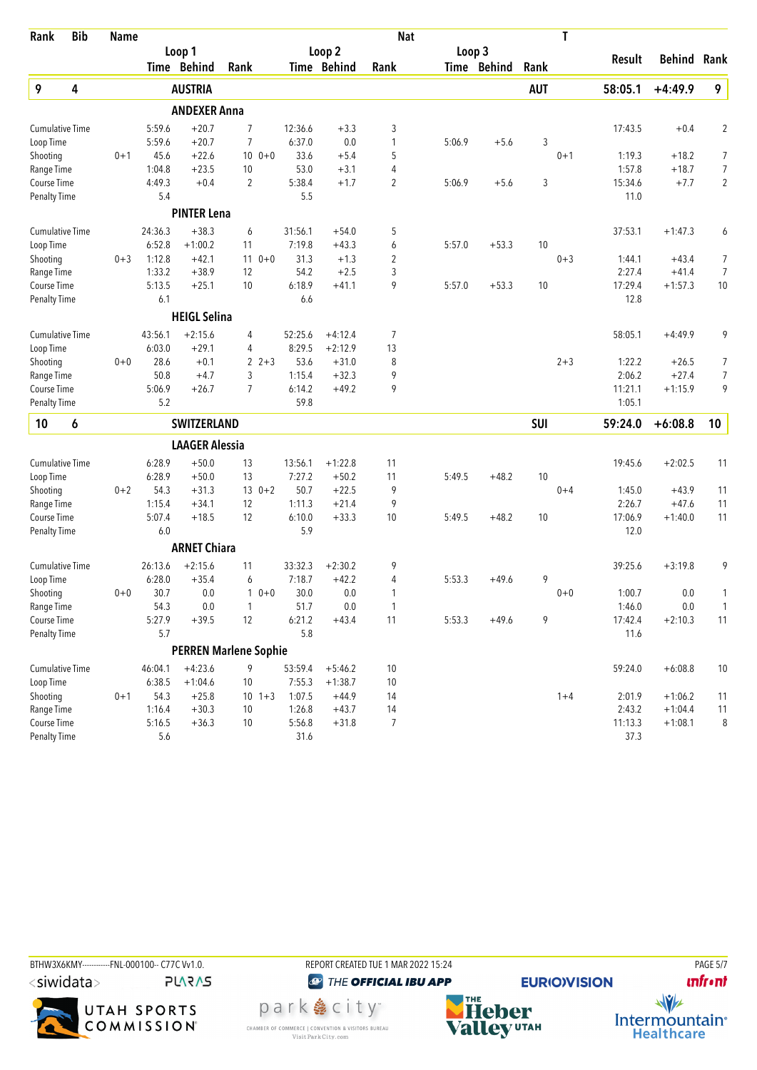| Rank                   | <b>Bib</b> | <b>Name</b> |         |                              |                |            |         |                   | <b>Nat</b>     |        |             |            | T       |         |                    |                |
|------------------------|------------|-------------|---------|------------------------------|----------------|------------|---------|-------------------|----------------|--------|-------------|------------|---------|---------|--------------------|----------------|
|                        |            |             |         | Loop 1                       |                |            |         | Loop <sub>2</sub> |                | Loop 3 |             |            |         |         |                    |                |
|                        |            |             |         | Time Behind                  | Rank           |            |         | Time Behind       | Rank           |        | Time Behind | Rank       |         | Result  | <b>Behind Rank</b> |                |
| 9                      | 4          |             |         | <b>AUSTRIA</b>               |                |            |         |                   |                |        |             | <b>AUT</b> |         | 58:05.1 | $+4:49.9$          | 9              |
|                        |            |             |         | <b>ANDEXER Anna</b>          |                |            |         |                   |                |        |             |            |         |         |                    |                |
| <b>Cumulative Time</b> |            |             | 5:59.6  | $+20.7$                      | $\overline{7}$ |            | 12:36.6 | $+3.3$            | 3              |        |             |            |         | 17:43.5 | $+0.4$             | $\overline{2}$ |
| Loop Time              |            |             | 5:59.6  | $+20.7$                      | 7              |            | 6:37.0  | 0.0               | 1              | 5:06.9 | $+5.6$      | 3          |         |         |                    |                |
| Shooting               |            | $0 + 1$     | 45.6    | $+22.6$                      |                | $100 + 0$  | 33.6    | $+5.4$            | 5              |        |             |            | $0 + 1$ | 1:19.3  | $+18.2$            | 7              |
| Range Time             |            |             | 1:04.8  | $+23.5$                      | 10             |            | 53.0    | $+3.1$            | 4              |        |             |            |         | 1:57.8  | $+18.7$            | 7              |
| Course Time            |            |             | 4:49.3  | $+0.4$                       | $\overline{2}$ |            | 5:38.4  | $+1.7$            | $\overline{c}$ | 5:06.9 | $+5.6$      | 3          |         | 15:34.6 | $+7.7$             | $\overline{2}$ |
| <b>Penalty Time</b>    |            |             | 5.4     |                              |                |            | 5.5     |                   |                |        |             |            |         | 11.0    |                    |                |
|                        |            |             |         | <b>PINTER Lena</b>           |                |            |         |                   |                |        |             |            |         |         |                    |                |
| <b>Cumulative Time</b> |            |             | 24:36.3 | $+38.3$                      | 6              |            | 31:56.1 | $+54.0$           | 5              |        |             |            |         | 37:53.1 | $+1:47.3$          | 6              |
| Loop Time              |            |             | 6:52.8  | $+1:00.2$                    | 11             |            | 7:19.8  | $+43.3$           | 6              | 5:57.0 | $+53.3$     | 10         |         |         |                    |                |
| Shooting               |            | $0 + 3$     | 1:12.8  | $+42.1$                      | 11             | $0 + 0$    | 31.3    | $+1.3$            | $\overline{2}$ |        |             |            | $0 + 3$ | 1:44.1  | $+43.4$            | 7              |
| Range Time             |            |             | 1:33.2  | $+38.9$                      | 12             |            | 54.2    | $+2.5$            | 3              |        |             |            |         | 2:27.4  | $+41.4$            | 7              |
| <b>Course Time</b>     |            |             | 5:13.5  | $+25.1$                      | 10             |            | 6:18.9  | $+41.1$           | 9              | 5:57.0 | $+53.3$     | 10         |         | 17:29.4 | $+1:57.3$          | $10\,$         |
| <b>Penalty Time</b>    |            |             | 6.1     |                              |                |            | 6.6     |                   |                |        |             |            |         | 12.8    |                    |                |
|                        |            |             |         | <b>HEIGL Selina</b>          |                |            |         |                   |                |        |             |            |         |         |                    |                |
| <b>Cumulative Time</b> |            |             | 43:56.1 | $+2:15.6$                    | 4              |            | 52:25.6 | $+4:12.4$         | 7              |        |             |            |         | 58:05.1 | $+4:49.9$          | 9              |
| Loop Time              |            |             | 6:03.0  | $+29.1$                      | 4              |            | 8:29.5  | $+2:12.9$         | 13             |        |             |            |         |         |                    |                |
| Shooting               |            | $0 + 0$     | 28.6    | $+0.1$                       | 2              | $2 + 3$    | 53.6    | $+31.0$           | 8              |        |             |            | $2 + 3$ | 1:22.2  | $+26.5$            | 7              |
| Range Time             |            |             | 50.8    | $+4.7$                       | 3              |            | 1:15.4  | $+32.3$           | 9              |        |             |            |         | 2:06.2  | $+27.4$            | 7              |
| Course Time            |            |             | 5:06.9  | $+26.7$                      | $\overline{7}$ |            | 6:14.2  | $+49.2$           | 9              |        |             |            |         | 11:21.1 | $+1:15.9$          | 9              |
| <b>Penalty Time</b>    |            |             | 5.2     |                              |                |            | 59.8    |                   |                |        |             |            |         | 1:05.1  |                    |                |
| 10                     | 6          |             |         | <b>SWITZERLAND</b>           |                |            |         |                   |                |        |             | SUI        |         | 59:24.0 | $+6:08.8$          | 10             |
|                        |            |             |         | <b>LAAGER Alessia</b>        |                |            |         |                   |                |        |             |            |         |         |                    |                |
| <b>Cumulative Time</b> |            |             | 6:28.9  | $+50.0$                      | 13             |            | 13:56.1 | $+1:22.8$         | 11             |        |             |            |         | 19:45.6 | $+2:02.5$          | 11             |
| Loop Time              |            |             | 6:28.9  | $+50.0$                      | 13             |            | 7:27.2  | $+50.2$           | 11             | 5:49.5 | $+48.2$     | 10         |         |         |                    |                |
| Shooting               |            | $0 + 2$     | 54.3    | $+31.3$                      |                | $130+2$    | 50.7    | $+22.5$           | 9              |        |             |            | $0 + 4$ | 1:45.0  | $+43.9$            | 11             |
| Range Time             |            |             | 1:15.4  | $+34.1$                      | 12             |            | 1:11.3  | $+21.4$           | 9              |        |             |            |         | 2:26.7  | $+47.6$            | 11             |
| Course Time            |            |             | 5:07.4  | $+18.5$                      | 12             |            | 6:10.0  | $+33.3$           | 10             | 5:49.5 | $+48.2$     | 10         |         | 17:06.9 | $+1:40.0$          | 11             |
| <b>Penalty Time</b>    |            |             | 6.0     |                              |                |            | 5.9     |                   |                |        |             |            |         | 12.0    |                    |                |
|                        |            |             |         | <b>ARNET Chiara</b>          |                |            |         |                   |                |        |             |            |         |         |                    |                |
| <b>Cumulative Time</b> |            |             | 26:13.6 | $+2:15.6$                    | 11             |            | 33:32.3 | $+2:30.2$         | 9              |        |             |            |         | 39:25.6 | $+3:19.8$          | 9              |
| Loop Time              |            |             | 6:28.0  | $+35.4$                      | 6              |            | 7:18.7  | $+42.2$           | 4              | 5:53.3 | $+49.6$     | 9          |         |         |                    |                |
| Shooting               |            | $0+0$       | 30.7    | 0.0                          |                | $0+0$      | 30.0    | 0.0               | 1              |        |             |            | $0+0$   | 1:00.7  | 0.0                | 1              |
| Range Time             |            |             | 54.3    | 0.0                          | $\mathbf{1}$   |            | 51.7    | $0.0\,$           | $\mathbf{1}$   |        |             |            |         | 1:46.0  | $0.0\,$            | 1              |
| Course Time            |            |             | 5:27.9  | $+39.5$                      | 12             |            | 6:21.2  | $+43.4$           | 11             | 5:53.3 | $+49.6$     | 9          |         | 17:42.4 | $+2:10.3$          | 11             |
| <b>Penalty Time</b>    |            |             | 5.7     |                              |                |            | 5.8     |                   |                |        |             |            |         | 11.6    |                    |                |
|                        |            |             |         | <b>PERREN Marlene Sophie</b> |                |            |         |                   |                |        |             |            |         |         |                    |                |
| Cumulative Time        |            |             | 46:04.1 | $+4:23.6$                    | 9              |            | 53:59.4 | $+5:46.2$         | $10$           |        |             |            |         | 59:24.0 | $+6:08.8$          | 10             |
| Loop Time              |            |             | 6:38.5  | $+1:04.6$                    | 10             |            | 7:55.3  | $+1:38.7$         | $10$           |        |             |            |         |         |                    |                |
| Shooting               |            | $0 + 1$     | 54.3    | $+25.8$                      |                | $10 \t1+3$ | 1:07.5  | $+44.9$           | 14             |        |             |            | $1 + 4$ | 2:01.9  | $+1:06.2$          | 11             |
| Range Time             |            |             | 1:16.4  | $+30.3$                      | 10             |            | 1:26.8  | $+43.7$           | 14             |        |             |            |         | 2:43.2  | $+1:04.4$          | 11             |
| Course Time            |            |             | 5:16.5  | $+36.3$                      | 10             |            | 5:56.8  | $+31.8$           | $\overline{7}$ |        |             |            |         | 11:13.3 | $+1:08.1$          | 8              |
| <b>Penalty Time</b>    |            |             | 5.6     |                              |                |            | 31.6    |                   |                |        |             |            |         | 37.3    |                    |                |



**unfront**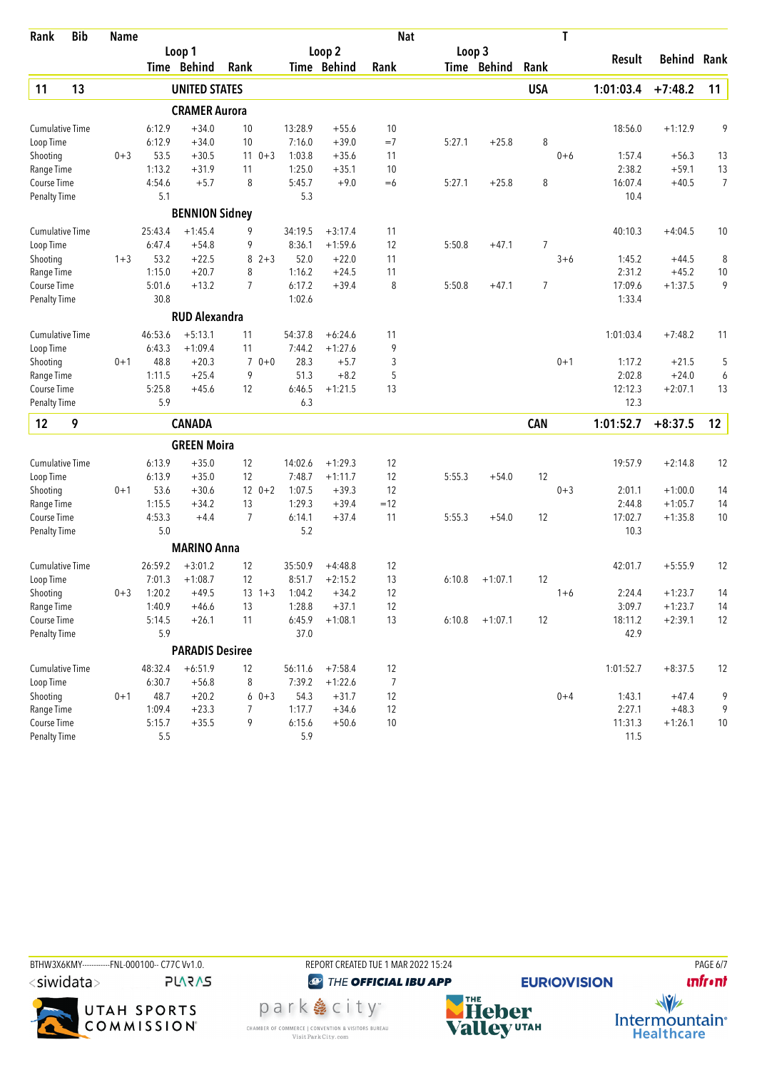| Rank                   | <b>Bib</b> | <b>Name</b> |         |                        |                           |         |             | <b>Nat</b> |        |             |                | T       |           |                    |                |
|------------------------|------------|-------------|---------|------------------------|---------------------------|---------|-------------|------------|--------|-------------|----------------|---------|-----------|--------------------|----------------|
|                        |            |             |         | Loop 1                 |                           |         | Loop 2      |            | Loop 3 |             |                |         |           |                    |                |
|                        |            |             |         | Time Behind            | Rank                      |         | Time Behind | Rank       |        | Time Behind | Rank           |         | Result    | <b>Behind Rank</b> |                |
| 11                     | 13         |             |         | <b>UNITED STATES</b>   |                           |         |             |            |        |             | <b>USA</b>     |         | 1:01:03.4 | $+7:48.2$          | 11             |
|                        |            |             |         | <b>CRAMER Aurora</b>   |                           |         |             |            |        |             |                |         |           |                    |                |
| <b>Cumulative Time</b> |            |             | 6:12.9  | $+34.0$                | 10                        | 13:28.9 | $+55.6$     | 10         |        |             |                |         | 18:56.0   | $+1:12.9$          | 9              |
| Loop Time              |            |             | 6:12.9  | $+34.0$                | 10                        | 7:16.0  | $+39.0$     | $=7$       | 5:27.1 | $+25.8$     | 8              |         |           |                    |                |
| Shooting               |            | $0 + 3$     | 53.5    | $+30.5$                | $0 + 3$<br>11             | 1:03.8  | $+35.6$     | 11         |        |             |                | $0 + 6$ | 1:57.4    | $+56.3$            | 13             |
| Range Time             |            |             | 1:13.2  | $+31.9$                | 11                        | 1:25.0  | $+35.1$     | 10         |        |             |                |         | 2:38.2    | $+59.1$            | 13             |
| Course Time            |            |             | 4:54.6  | $+5.7$                 | 8                         | 5:45.7  | $+9.0$      | $=6$       | 5:27.1 | $+25.8$     | 8              |         | 16:07.4   | $+40.5$            | $\overline{7}$ |
| <b>Penalty Time</b>    |            |             | 5.1     |                        |                           | 5.3     |             |            |        |             |                |         | 10.4      |                    |                |
|                        |            |             |         | <b>BENNION Sidney</b>  |                           |         |             |            |        |             |                |         |           |                    |                |
| <b>Cumulative Time</b> |            |             | 25:43.4 | $+1:45.4$              | 9                         | 34:19.5 | $+3:17.4$   | 11         |        |             |                |         | 40:10.3   | $+4:04.5$          | 10             |
| Loop Time              |            |             | 6:47.4  | $+54.8$                | 9                         | 8:36.1  | $+1:59.6$   | 12         | 5:50.8 | $+47.1$     | $\overline{7}$ |         |           |                    |                |
| Shooting               |            | $1 + 3$     | 53.2    | $+22.5$                | 8<br>$2 + 3$              | 52.0    | $+22.0$     | 11         |        |             |                | $3 + 6$ | 1:45.2    | $+44.5$            | 8              |
| Range Time             |            |             | 1:15.0  | $+20.7$                | 8                         | 1:16.2  | $+24.5$     | 11         |        |             |                |         | 2:31.2    | $+45.2$            | 10             |
| Course Time            |            |             | 5:01.6  | $+13.2$                | 7                         | 6:17.2  | $+39.4$     | 8          | 5:50.8 | $+47.1$     | 7              |         | 17:09.6   | $+1:37.5$          | 9              |
| <b>Penalty Time</b>    |            |             | 30.8    |                        |                           | 1:02.6  |             |            |        |             |                |         | 1:33.4    |                    |                |
|                        |            |             |         | <b>RUD Alexandra</b>   |                           |         |             |            |        |             |                |         |           |                    |                |
| <b>Cumulative Time</b> |            |             | 46:53.6 | $+5:13.1$              | 11                        | 54:37.8 | $+6:24.6$   | 11         |        |             |                |         | 1:01:03.4 | $+7:48.2$          | 11             |
| Loop Time              |            |             | 6:43.3  | $+1:09.4$              | 11                        | 7:44.2  | $+1:27.6$   | 9          |        |             |                |         |           |                    |                |
| Shooting               |            | $0 + 1$     | 48.8    | $+20.3$                | $0 + 0$<br>$\overline{7}$ | 28.3    | $+5.7$      | 3          |        |             |                | $0 + 1$ | 1:17.2    | $+21.5$            | 5              |
| Range Time             |            |             | 1:11.5  | $+25.4$                | 9                         | 51.3    | $+8.2$      | 5          |        |             |                |         | 2:02.8    | $+24.0$            | 6              |
| Course Time            |            |             | 5:25.8  | $+45.6$                | 12                        | 6:46.5  | $+1:21.5$   | 13         |        |             |                |         | 12:12.3   | $+2:07.1$          | 13             |
| <b>Penalty Time</b>    |            |             | 5.9     |                        |                           | 6.3     |             |            |        |             |                |         | 12.3      |                    |                |
| 12                     | 9          |             |         | <b>CANADA</b>          |                           |         |             |            |        |             | <b>CAN</b>     |         | 1:01:52.7 | $+8:37.5$          | 12             |
|                        |            |             |         | <b>GREEN Moira</b>     |                           |         |             |            |        |             |                |         |           |                    |                |
| <b>Cumulative Time</b> |            |             | 6:13.9  | $+35.0$                | 12                        | 14:02.6 | $+1:29.3$   | 12         |        |             |                |         | 19:57.9   | $+2:14.8$          | 12             |
| Loop Time              |            |             | 6:13.9  | $+35.0$                | 12                        | 7:48.7  | $+1:11.7$   | 12         | 5:55.3 | $+54.0$     | 12             |         |           |                    |                |
| Shooting               |            | $0 + 1$     | 53.6    | $+30.6$                | $12 \t 0+2$               | 1:07.5  | $+39.3$     | 12         |        |             |                | $0 + 3$ | 2:01.1    | $+1:00.0$          | 14             |
| Range Time             |            |             | 1:15.5  | $+34.2$                | 13                        | 1:29.3  | $+39.4$     | $=12$      |        |             |                |         | 2:44.8    | $+1:05.7$          | 14             |
| Course Time            |            |             | 4:53.3  | $+4.4$                 | $\overline{7}$            | 6:14.1  | $+37.4$     | 11         | 5:55.3 | $+54.0$     | 12             |         | 17:02.7   | $+1:35.8$          | 10             |
| <b>Penalty Time</b>    |            |             | 5.0     |                        |                           | 5.2     |             |            |        |             |                |         | 10.3      |                    |                |
|                        |            |             |         | <b>MARINO Anna</b>     |                           |         |             |            |        |             |                |         |           |                    |                |
| <b>Cumulative Time</b> |            |             | 26:59.2 | $+3:01.2$              | 12                        | 35:50.9 | $+4:48.8$   | 12         |        |             |                |         | 42:01.7   | $+5:55.9$          | 12             |
| Loop Time              |            |             | 7:01.3  | $+1:08.7$              | 12                        | 8:51.7  | $+2:15.2$   | 13         | 6:10.8 | $+1:07.1$   | 12             |         |           |                    |                |
| Shooting               |            | $0 + 3$     | 1:20.2  | $+49.5$                | $13 \t1+3$                | 1:04.2  | $+34.2$     | 12         |        |             |                | $1 + 6$ | 2:24.4    | $+1:23.7$          | 14             |
| Range Time             |            |             | 1:40.9  | $+46.6$                | 13                        | 1:28.8  | $+37.1$     | 12         |        |             |                |         | 3:09.7    | $+1:23.7$          | 14             |
| Course Time            |            |             | 5:14.5  | $+26.1$                | 11                        | 6:45.9  | $+1:08.1$   | 13         | 6:10.8 | $+1:07.1$   | 12             |         | 18:11.2   | $+2:39.1$          | 12             |
| <b>Penalty Time</b>    |            |             | 5.9     |                        |                           | 37.0    |             |            |        |             |                |         | 42.9      |                    |                |
|                        |            |             |         | <b>PARADIS Desiree</b> |                           |         |             |            |        |             |                |         |           |                    |                |
| <b>Cumulative Time</b> |            |             | 48:32.4 | $+6:51.9$              | 12                        | 56:11.6 | $+7:58.4$   | 12         |        |             |                |         | 1:01:52.7 | $+8:37.5$          | 12             |
| Loop Time              |            |             | 6:30.7  | $+56.8$                | 8                         | 7:39.2  | $+1:22.6$   | 7          |        |             |                |         |           |                    |                |
| Shooting               |            | $0 + 1$     | 48.7    | $+20.2$                | $60+3$                    | 54.3    | $+31.7$     | 12         |        |             |                | $0 + 4$ | 1:43.1    | $+47.4$            | 9              |
| Range Time             |            |             | 1:09.4  | $+23.3$                | 7                         | 1:17.7  | $+34.6$     | 12         |        |             |                |         | 2:27.1    | $+48.3$            | 9              |
| Course Time            |            |             | 5:15.7  | $+35.5$                | 9                         | 6:15.6  | $+50.6$     | 10         |        |             |                |         | 11:31.3   | $+1:26.1$          | 10             |
| <b>Penalty Time</b>    |            |             | 5.5     |                        |                           | 5.9     |             |            |        |             |                |         | 11.5      |                    |                |





<sup><sup>3</sup>THE OFFICIAL IBU APP</sup> park e city<sup>®</sup> CHAMBER OF COMMERCE | CONVENTION & VISITORS BUREAU<br>Visit Park City.com



**EURIO)VISION** 

**unfront** 

 $\frac{1}{\sqrt{2}}$ 

Intermountain<sup>®</sup><br>Healthcare